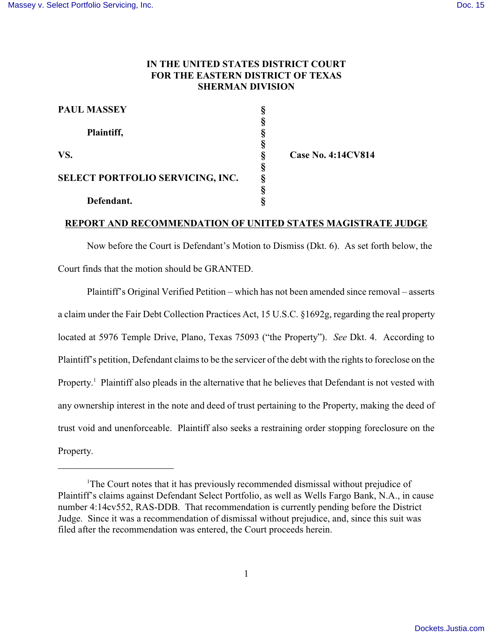## **IN THE UNITED STATES DISTRICT COURT FOR THE EASTERN DISTRICT OF TEXAS SHERMAN DIVISION**

| <b>PAUL MASSEY</b>               |   |
|----------------------------------|---|
| Plaintiff,                       |   |
| VS.                              |   |
| SELECT PORTFOLIO SERVICING, INC. | ş |
| Defendant.                       |   |

**VS. § Case No. 4:14CV814**

## **REPORT AND RECOMMENDATION OF UNITED STATES MAGISTRATE JUDGE**

 Now before the Court is Defendant's Motion to Dismiss (Dkt. 6). As set forth below, the Court finds that the motion should be GRANTED.

Plaintiff's Original Verified Petition – which has not been amended since removal – asserts a claim under the Fair Debt Collection Practices Act, 15 U.S.C. §1692g, regarding the real property located at 5976 Temple Drive, Plano, Texas 75093 ("the Property"). *See* Dkt. 4. According to Plaintiff's petition, Defendant claims to be the servicer of the debt with the rights to foreclose on the Property.<sup>1</sup> Plaintiff also pleads in the alternative that he believes that Defendant is not vested with any ownership interest in the note and deed of trust pertaining to the Property, making the deed of trust void and unenforceable. Plaintiff also seeks a restraining order stopping foreclosure on the Property.

<sup>&</sup>lt;sup>1</sup>The Court notes that it has previously recommended dismissal without prejudice of Plaintiff's claims against Defendant Select Portfolio, as well as Wells Fargo Bank, N.A., in cause number 4:14cv552, RAS-DDB. That recommendation is currently pending before the District Judge. Since it was a recommendation of dismissal without prejudice, and, since this suit was filed after the recommendation was entered, the Court proceeds herein.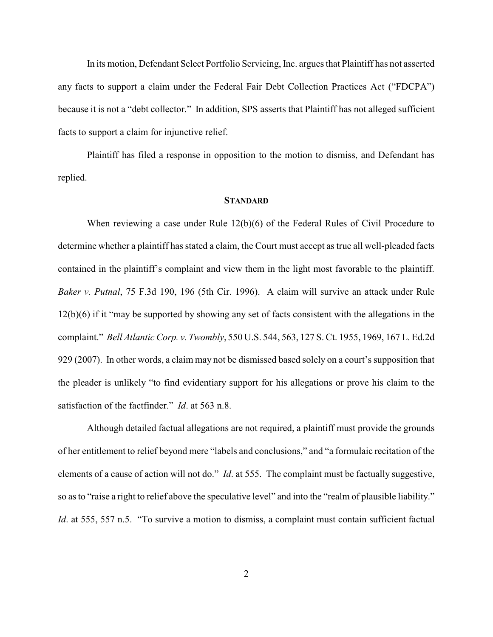In its motion, Defendant Select Portfolio Servicing, Inc. argues that Plaintiff has not asserted any facts to support a claim under the Federal Fair Debt Collection Practices Act ("FDCPA") because it is not a "debt collector." In addition, SPS asserts that Plaintiff has not alleged sufficient facts to support a claim for injunctive relief.

Plaintiff has filed a response in opposition to the motion to dismiss, and Defendant has replied.

## **STANDARD**

When reviewing a case under Rule 12(b)(6) of the Federal Rules of Civil Procedure to determine whether a plaintiff has stated a claim, the Court must accept as true all well-pleaded facts contained in the plaintiff's complaint and view them in the light most favorable to the plaintiff. *Baker v. Putnal*, 75 F.3d 190, 196 (5th Cir. 1996). A claim will survive an attack under Rule 12(b)(6) if it "may be supported by showing any set of facts consistent with the allegations in the complaint." *Bell Atlantic Corp. v. Twombly*, 550 U.S. 544, 563, 127 S. Ct. 1955, 1969, 167 L. Ed.2d 929 (2007). In other words, a claim may not be dismissed based solely on a court's supposition that the pleader is unlikely "to find evidentiary support for his allegations or prove his claim to the satisfaction of the factfinder." *Id*. at 563 n.8.

Although detailed factual allegations are not required, a plaintiff must provide the grounds of her entitlement to relief beyond mere "labels and conclusions," and "a formulaic recitation of the elements of a cause of action will not do." *Id*. at 555. The complaint must be factually suggestive, so as to "raise a right to relief above the speculative level" and into the "realm of plausible liability." *Id.* at 555, 557 n.5. "To survive a motion to dismiss, a complaint must contain sufficient factual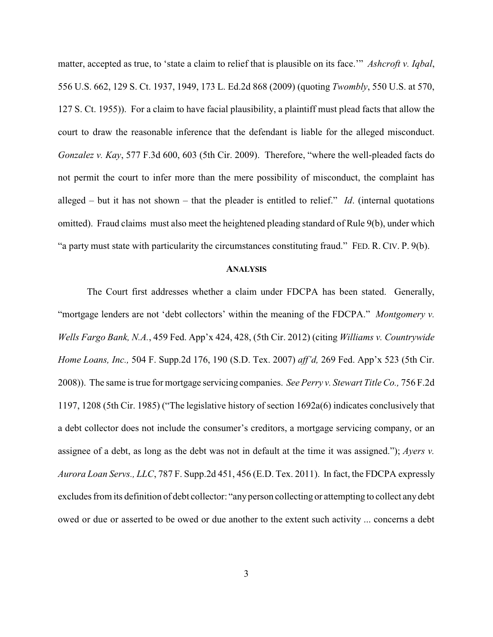matter, accepted as true, to 'state a claim to relief that is plausible on its face.'" *Ashcroft v. Iqbal*, 556 U.S. 662, 129 S. Ct. 1937, 1949, 173 L. Ed.2d 868 (2009) (quoting *Twombly*, 550 U.S. at 570, 127 S. Ct. 1955)). For a claim to have facial plausibility, a plaintiff must plead facts that allow the court to draw the reasonable inference that the defendant is liable for the alleged misconduct. *Gonzalez v. Kay*, 577 F.3d 600, 603 (5th Cir. 2009). Therefore, "where the well-pleaded facts do not permit the court to infer more than the mere possibility of misconduct, the complaint has alleged – but it has not shown – that the pleader is entitled to relief." *Id*. (internal quotations omitted). Fraud claims must also meet the heightened pleading standard of Rule 9(b), under which "a party must state with particularity the circumstances constituting fraud." FED. R. CIV. P. 9(b).

## **ANALYSIS**

The Court first addresses whether a claim under FDCPA has been stated. Generally, "mortgage lenders are not 'debt collectors' within the meaning of the FDCPA." *Montgomery v. Wells Fargo Bank, N.A.*, 459 Fed. App'x 424, 428, (5th Cir. 2012) (citing *Williams v. Countrywide Home Loans, Inc.,* 504 F. Supp.2d 176, 190 (S.D. Tex. 2007) *aff'd,* 269 Fed. App'x 523 (5th Cir. 2008)). The same is true for mortgage servicing companies. *See Perry v. Stewart Title Co.,* 756 F.2d 1197, 1208 (5th Cir. 1985) ("The legislative history of section 1692a(6) indicates conclusively that a debt collector does not include the consumer's creditors, a mortgage servicing company, or an assignee of a debt, as long as the debt was not in default at the time it was assigned."); *Ayers v. Aurora Loan Servs., LLC*, 787 F. Supp.2d 451, 456 (E.D. Tex. 2011). In fact, the FDCPA expressly excludes from its definition of debt collector: "any person collecting or attempting to collect any debt owed or due or asserted to be owed or due another to the extent such activity ... concerns a debt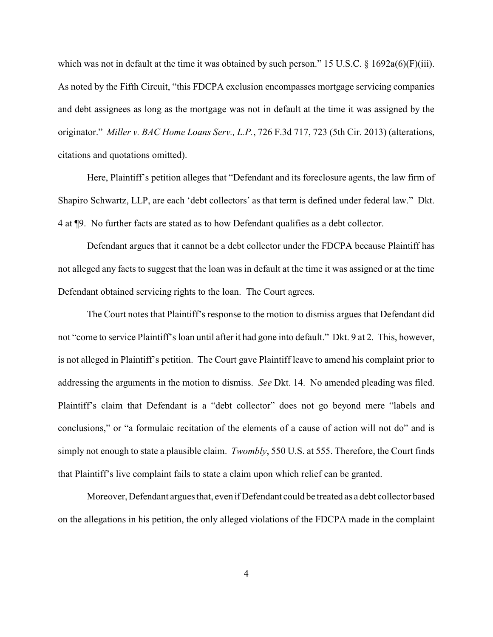which was not in default at the time it was obtained by such person." 15 U.S.C. § 1692a(6)(F)(iii). As noted by the Fifth Circuit, "this FDCPA exclusion encompasses mortgage servicing companies and debt assignees as long as the mortgage was not in default at the time it was assigned by the originator." *Miller v. BAC Home Loans Serv., L.P.*, 726 F.3d 717, 723 (5th Cir. 2013) (alterations, citations and quotations omitted).

Here, Plaintiff's petition alleges that "Defendant and its foreclosure agents, the law firm of Shapiro Schwartz, LLP, are each 'debt collectors' as that term is defined under federal law." Dkt. 4 at ¶9. No further facts are stated as to how Defendant qualifies as a debt collector.

Defendant argues that it cannot be a debt collector under the FDCPA because Plaintiff has not alleged any facts to suggest that the loan was in default at the time it was assigned or at the time Defendant obtained servicing rights to the loan. The Court agrees.

The Court notes that Plaintiff's response to the motion to dismiss argues that Defendant did not "come to service Plaintiff's loan until after it had gone into default." Dkt. 9 at 2. This, however, is not alleged in Plaintiff's petition. The Court gave Plaintiff leave to amend his complaint prior to addressing the arguments in the motion to dismiss. *See* Dkt. 14. No amended pleading was filed. Plaintiff's claim that Defendant is a "debt collector" does not go beyond mere "labels and conclusions," or "a formulaic recitation of the elements of a cause of action will not do" and is simply not enough to state a plausible claim. *Twombly*, 550 U.S. at 555. Therefore, the Court finds that Plaintiff's live complaint fails to state a claim upon which relief can be granted.

Moreover, Defendant argues that, even if Defendant could be treated as a debt collector based on the allegations in his petition, the only alleged violations of the FDCPA made in the complaint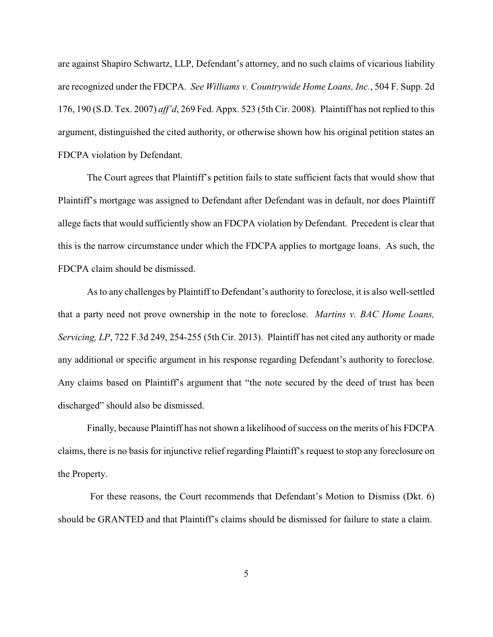are against Shapiro Schwartz, LLP, Defendant's attorney, and no such claims of vicarious liability are recognized under the FDCPA. *See Williams v. Countrywide Home Loans, Inc.*, 504 F. Supp. 2d 176, 190 (S.D. Tex. 2007) *aff'd*, 269 Fed. Appx. 523 (5th Cir. 2008)*.* Plaintiff has not replied to this argument, distinguished the cited authority, or otherwise shown how his original petition states an FDCPA violation by Defendant.

The Court agrees that Plaintiff's petition fails to state sufficient facts that would show that Plaintiff's mortgage was assigned to Defendant after Defendant was in default, nor does Plaintiff allege facts that would sufficiently show an FDCPA violation by Defendant. Precedent is clear that this is the narrow circumstance under which the FDCPA applies to mortgage loans. As such, the FDCPA claim should be dismissed.

As to any challenges by Plaintiff to Defendant's authority to foreclose, it is also well-settled that a party need not prove ownership in the note to foreclose. *Martins v. BAC Home Loans, Servicing, LP*, 722 F.3d 249, 254-255 (5th Cir. 2013). Plaintiff has not cited any authority or made any additional or specific argument in his response regarding Defendant's authority to foreclose. Any claims based on Plaintiff's argument that "the note secured by the deed of trust has been discharged" should also be dismissed.

Finally, because Plaintiff has not shown a likelihood of success on the merits of his FDCPA claims, there is no basis for injunctive relief regarding Plaintiff's request to stop any foreclosure on the Property.

 For these reasons, the Court recommends that Defendant's Motion to Dismiss (Dkt. 6) should be GRANTED and that Plaintiff's claims should be dismissed for failure to state a claim.